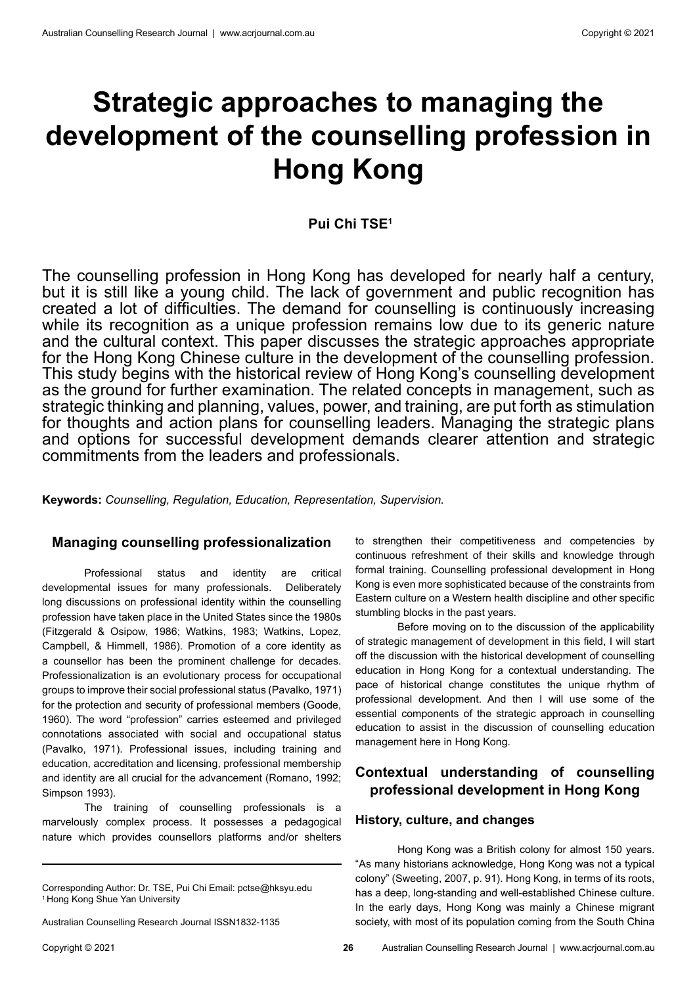# **Strategic approaches to managing the development of the counselling profession in Hong Kong**

# **Pui Chi TSE1**

The counselling profession in Hong Kong has developed for nearly half a century, but it is still like a young child. The lack of government and public recognition has created a lot of difficulties. The demand for counselling is continuously increasing while its recognition as a unique profession remains low due to its generic nature and the cultural context. This paper discusses the strategic approaches appropriate for the Hong Kong Chinese culture in the development of the counselling profession. This study begins with the historical review of Hong Kong's counselling development as the ground for further examination. The related concepts in management, such as strategic thinking and planning, values, power, and training, are put forth as stimulation for thoughts and action plans for counselling leaders. Managing the strategic plans and options for successful development demands clearer attention and strategic commitments from the leaders and professionals.

**Keywords:** *Counselling, Regulation, Education, Representation, Supervision.*

# **Managing counselling professionalization**

Professional status and identity are critical developmental issues for many professionals. Deliberately long discussions on professional identity within the counselling profession have taken place in the United States since the 1980s (Fitzgerald & Osipow, 1986; Watkins, 1983; Watkins, Lopez, Campbell, & Himmell, 1986). Promotion of a core identity as a counsellor has been the prominent challenge for decades. Professionalization is an evolutionary process for occupational groups to improve their social professional status (Pavalko, 1971) for the protection and security of professional members (Goode, 1960). The word "profession" carries esteemed and privileged connotations associated with social and occupational status (Pavalko, 1971). Professional issues, including training and education, accreditation and licensing, professional membership and identity are all crucial for the advancement (Romano, 1992; Simpson 1993).

The training of counselling professionals is a marvelously complex process. It possesses a pedagogical nature which provides counsellors platforms and/or shelters to strengthen their competitiveness and competencies by continuous refreshment of their skills and knowledge through formal training. Counselling professional development in Hong Kong is even more sophisticated because of the constraints from Eastern culture on a Western health discipline and other specific stumbling blocks in the past years.

Before moving on to the discussion of the applicability of strategic management of development in this field, I will start off the discussion with the historical development of counselling education in Hong Kong for a contextual understanding. The pace of historical change constitutes the unique rhythm of professional development. And then I will use some of the essential components of the strategic approach in counselling education to assist in the discussion of counselling education management here in Hong Kong.

# **Contextual understanding of counselling professional development in Hong Kong**

#### **History, culture, and changes**

Hong Kong was a British colony for almost 150 years. "As many historians acknowledge, Hong Kong was not a typical colony" (Sweeting, 2007, p. 91). Hong Kong, in terms of its roots, has a deep, long-standing and well-established Chinese culture. In the early days, Hong Kong was mainly a Chinese migrant society, with most of its population coming from the South China

Corresponding Author: Dr. TSE, Pui Chi Email: pctse@hksyu.edu 1 Hong Kong Shue Yan University

Australian Counselling Research Journal ISSN1832-1135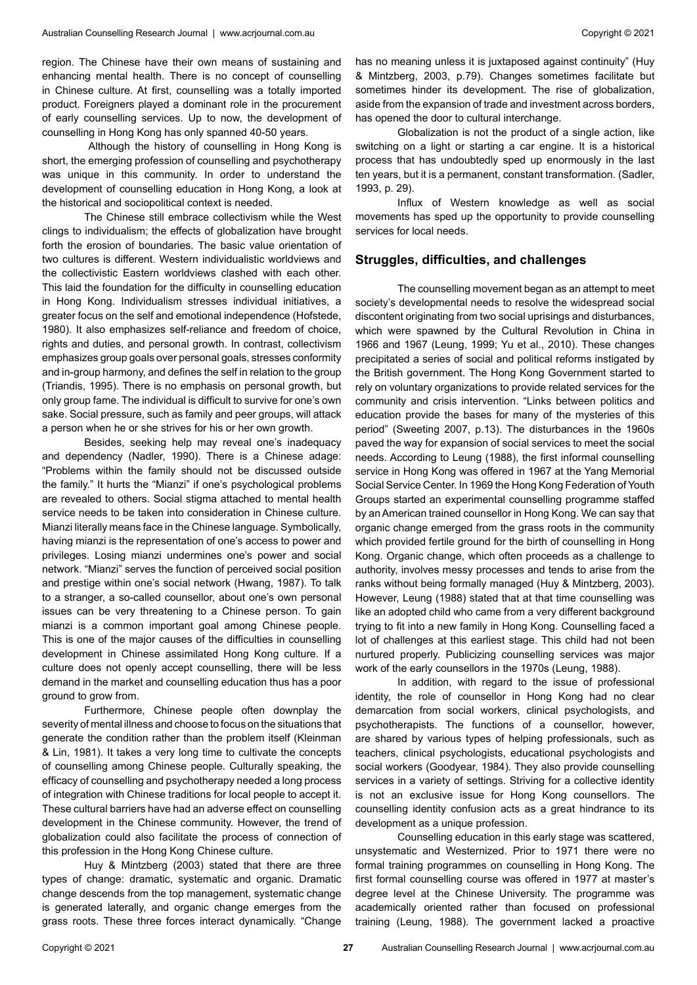region. The Chinese have their own means of sustaining and enhancing mental health. There is no concept of counselling in Chinese culture. At first, counselling was a totally imported product. Foreigners played a dominant role in the procurement of early counselling services. Up to now, the development of counselling in Hong Kong has only spanned 40-50 years.

 Although the history of counselling in Hong Kong is short, the emerging profession of counselling and psychotherapy was unique in this community. In order to understand the development of counselling education in Hong Kong, a look at the historical and sociopolitical context is needed.

The Chinese still embrace collectivism while the West clings to individualism; the effects of globalization have brought forth the erosion of boundaries. The basic value orientation of two cultures is different. Western individualistic worldviews and the collectivistic Eastern worldviews clashed with each other. This laid the foundation for the difficulty in counselling education in Hong Kong. Individualism stresses individual initiatives, a greater focus on the self and emotional independence (Hofstede, 1980). It also emphasizes self-reliance and freedom of choice, rights and duties, and personal growth. In contrast, collectivism emphasizes group goals over personal goals, stresses conformity and in-group harmony, and defines the self in relation to the group (Triandis, 1995). There is no emphasis on personal growth, but only group fame. The individual is difficult to survive for one's own sake. Social pressure, such as family and peer groups, will attack a person when he or she strives for his or her own growth.

Besides, seeking help may reveal one's inadequacy and dependency (Nadler, 1990). There is a Chinese adage: "Problems within the family should not be discussed outside the family." It hurts the "Mianzi" if one's psychological problems are revealed to others. Social stigma attached to mental health service needs to be taken into consideration in Chinese culture. Mianzi literally means face in the Chinese language. Symbolically, having mianzi is the representation of one's access to power and privileges. Losing mianzi undermines one's power and social network. "Mianzi" serves the function of perceived social position and prestige within one's social network (Hwang, 1987). To talk to a stranger, a so-called counsellor, about one's own personal issues can be very threatening to a Chinese person. To gain mianzi is a common important goal among Chinese people. This is one of the major causes of the difficulties in counselling development in Chinese assimilated Hong Kong culture. If a culture does not openly accept counselling, there will be less demand in the market and counselling education thus has a poor ground to grow from.

Furthermore, Chinese people often downplay the severity of mental illness and choose to focus on the situations that generate the condition rather than the problem itself (Kleinman & Lin, 1981). It takes a very long time to cultivate the concepts of counselling among Chinese people. Culturally speaking, the efficacy of counselling and psychotherapy needed a long process of integration with Chinese traditions for local people to accept it. These cultural barriers have had an adverse effect on counselling development in the Chinese community. However, the trend of globalization could also facilitate the process of connection of this profession in the Hong Kong Chinese culture.

Huy & Mintzberg (2003) stated that there are three types of change: dramatic, systematic and organic. Dramatic change descends from the top management, systematic change is generated laterally, and organic change emerges from the grass roots. These three forces interact dynamically. "Change

has no meaning unless it is juxtaposed against continuity" (Huy & Mintzberg, 2003, p.79). Changes sometimes facilitate but sometimes hinder its development. The rise of globalization, aside from the expansion of trade and investment across borders, has opened the door to cultural interchange.

Globalization is not the product of a single action, like switching on a light or starting a car engine. It is a historical process that has undoubtedly sped up enormously in the last ten years, but it is a permanent, constant transformation. (Sadler, 1993, p. 29).

Influx of Western knowledge as well as social movements has sped up the opportunity to provide counselling services for local needs.

# **Struggles, difficulties, and challenges**

The counselling movement began as an attempt to meet society's developmental needs to resolve the widespread social discontent originating from two social uprisings and disturbances, which were spawned by the Cultural Revolution in China in 1966 and 1967 (Leung, 1999; Yu et al., 2010). These changes precipitated a series of social and political reforms instigated by the British government. The Hong Kong Government started to rely on voluntary organizations to provide related services for the community and crisis intervention. "Links between politics and education provide the bases for many of the mysteries of this period" (Sweeting 2007, p.13). The disturbances in the 1960s paved the way for expansion of social services to meet the social needs. According to Leung (1988), the first informal counselling service in Hong Kong was offered in 1967 at the Yang Memorial Social Service Center. In 1969 the Hong Kong Federation of Youth Groups started an experimental counselling programme staffed by an American trained counsellor in Hong Kong. We can say that organic change emerged from the grass roots in the community which provided fertile ground for the birth of counselling in Hong Kong. Organic change, which often proceeds as a challenge to authority, involves messy processes and tends to arise from the ranks without being formally managed (Huy & Mintzberg, 2003). However, Leung (1988) stated that at that time counselling was like an adopted child who came from a very different background trying to fit into a new family in Hong Kong. Counselling faced a lot of challenges at this earliest stage. This child had not been nurtured properly. Publicizing counselling services was major work of the early counsellors in the 1970s (Leung, 1988).

In addition, with regard to the issue of professional identity, the role of counsellor in Hong Kong had no clear demarcation from social workers, clinical psychologists, and psychotherapists. The functions of a counsellor, however, are shared by various types of helping professionals, such as teachers, clinical psychologists, educational psychologists and social workers (Goodyear, 1984). They also provide counselling services in a variety of settings. Striving for a collective identity is not an exclusive issue for Hong Kong counsellors. The counselling identity confusion acts as a great hindrance to its development as a unique profession.

Counselling education in this early stage was scattered, unsystematic and Westernized. Prior to 1971 there were no formal training programmes on counselling in Hong Kong. The first formal counselling course was offered in 1977 at master's degree level at the Chinese University. The programme was academically oriented rather than focused on professional training (Leung, 1988). The government lacked a proactive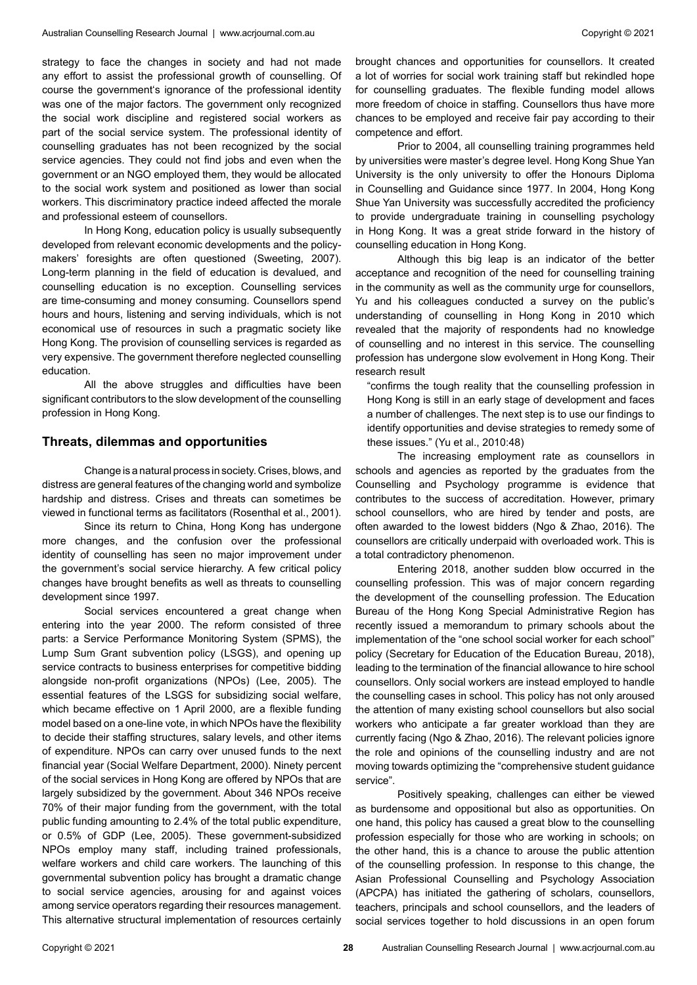strategy to face the changes in society and had not made any effort to assist the professional growth of counselling. Of course the government's ignorance of the professional identity was one of the major factors. The government only recognized the social work discipline and registered social workers as part of the social service system. The professional identity of counselling graduates has not been recognized by the social service agencies. They could not find jobs and even when the government or an NGO employed them, they would be allocated to the social work system and positioned as lower than social workers. This discriminatory practice indeed affected the morale and professional esteem of counsellors.

In Hong Kong, education policy is usually subsequently developed from relevant economic developments and the policymakers' foresights are often questioned (Sweeting, 2007). Long-term planning in the field of education is devalued, and counselling education is no exception. Counselling services are time-consuming and money consuming. Counsellors spend hours and hours, listening and serving individuals, which is not economical use of resources in such a pragmatic society like Hong Kong. The provision of counselling services is regarded as very expensive. The government therefore neglected counselling education.

All the above struggles and difficulties have been significant contributors to the slow development of the counselling profession in Hong Kong.

#### **Threats, dilemmas and opportunities**

Change is a natural process in society. Crises, blows, and distress are general features of the changing world and symbolize hardship and distress. Crises and threats can sometimes be viewed in functional terms as facilitators (Rosenthal et al., 2001).

Since its return to China, Hong Kong has undergone more changes, and the confusion over the professional identity of counselling has seen no major improvement under the government's social service hierarchy. A few critical policy changes have brought benefits as well as threats to counselling development since 1997.

Social services encountered a great change when entering into the year 2000. The reform consisted of three parts: a Service Performance Monitoring System (SPMS), the Lump Sum Grant subvention policy (LSGS), and opening up service contracts to business enterprises for competitive bidding alongside non-profit organizations (NPOs) (Lee, 2005). The essential features of the LSGS for subsidizing social welfare, which became effective on 1 April 2000, are a flexible funding model based on a one-line vote, in which NPOs have the flexibility to decide their staffing structures, salary levels, and other items of expenditure. NPOs can carry over unused funds to the next financial year (Social Welfare Department, 2000). Ninety percent of the social services in Hong Kong are offered by NPOs that are largely subsidized by the government. About 346 NPOs receive 70% of their major funding from the government, with the total public funding amounting to 2.4% of the total public expenditure, or 0.5% of GDP (Lee, 2005). These government-subsidized NPOs employ many staff, including trained professionals, welfare workers and child care workers. The launching of this governmental subvention policy has brought a dramatic change to social service agencies, arousing for and against voices among service operators regarding their resources management. This alternative structural implementation of resources certainly

brought chances and opportunities for counsellors. It created a lot of worries for social work training staff but rekindled hope for counselling graduates. The flexible funding model allows more freedom of choice in staffing. Counsellors thus have more chances to be employed and receive fair pay according to their competence and effort.

Prior to 2004, all counselling training programmes held by universities were master's degree level. Hong Kong Shue Yan University is the only university to offer the Honours Diploma in Counselling and Guidance since 1977. In 2004, Hong Kong Shue Yan University was successfully accredited the proficiency to provide undergraduate training in counselling psychology in Hong Kong. It was a great stride forward in the history of counselling education in Hong Kong.

Although this big leap is an indicator of the better acceptance and recognition of the need for counselling training in the community as well as the community urge for counsellors, Yu and his colleagues conducted a survey on the public's understanding of counselling in Hong Kong in 2010 which revealed that the majority of respondents had no knowledge of counselling and no interest in this service. The counselling profession has undergone slow evolvement in Hong Kong. Their research result

"confirms the tough reality that the counselling profession in Hong Kong is still in an early stage of development and faces a number of challenges. The next step is to use our findings to identify opportunities and devise strategies to remedy some of these issues." (Yu et al., 2010:48)

The increasing employment rate as counsellors in schools and agencies as reported by the graduates from the Counselling and Psychology programme is evidence that contributes to the success of accreditation. However, primary school counsellors, who are hired by tender and posts, are often awarded to the lowest bidders (Ngo & Zhao, 2016). The counsellors are critically underpaid with overloaded work. This is a total contradictory phenomenon.

Entering 2018, another sudden blow occurred in the counselling profession. This was of major concern regarding the development of the counselling profession. The Education Bureau of the Hong Kong Special Administrative Region has recently issued a memorandum to primary schools about the implementation of the "one school social worker for each school" policy (Secretary for Education of the Education Bureau, 2018), leading to the termination of the financial allowance to hire school counsellors. Only social workers are instead employed to handle the counselling cases in school. This policy has not only aroused the attention of many existing school counsellors but also social workers who anticipate a far greater workload than they are currently facing (Ngo & Zhao, 2016). The relevant policies ignore the role and opinions of the counselling industry and are not moving towards optimizing the "comprehensive student guidance service".

Positively speaking, challenges can either be viewed as burdensome and oppositional but also as opportunities. On one hand, this policy has caused a great blow to the counselling profession especially for those who are working in schools; on the other hand, this is a chance to arouse the public attention of the counselling profession. In response to this change, the Asian Professional Counselling and Psychology Association (APCPA) has initiated the gathering of scholars, counsellors, teachers, principals and school counsellors, and the leaders of social services together to hold discussions in an open forum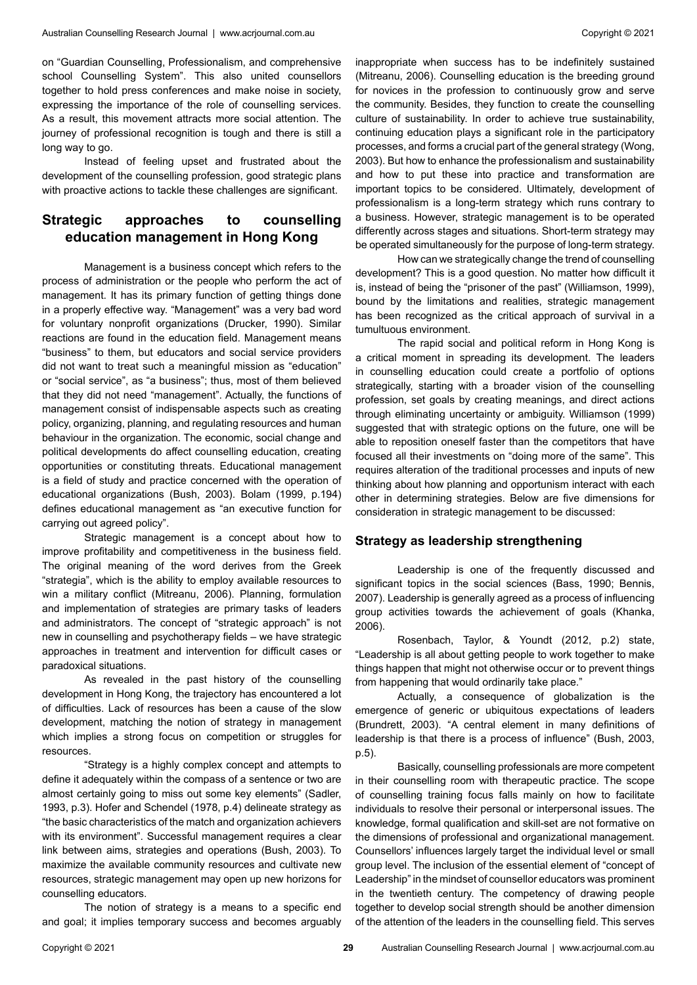on "Guardian Counselling, Professionalism, and comprehensive school Counselling System". This also united counsellors together to hold press conferences and make noise in society, expressing the importance of the role of counselling services. As a result, this movement attracts more social attention. The journey of professional recognition is tough and there is still a long way to go.

Instead of feeling upset and frustrated about the development of the counselling profession, good strategic plans with proactive actions to tackle these challenges are significant.

# **Strategic approaches to counselling education management in Hong Kong**

Management is a business concept which refers to the process of administration or the people who perform the act of management. It has its primary function of getting things done in a properly effective way. "Management" was a very bad word for voluntary nonprofit organizations (Drucker, 1990). Similar reactions are found in the education field. Management means "business" to them, but educators and social service providers did not want to treat such a meaningful mission as "education" or "social service", as "a business"; thus, most of them believed that they did not need "management". Actually, the functions of management consist of indispensable aspects such as creating policy, organizing, planning, and regulating resources and human behaviour in the organization. The economic, social change and political developments do affect counselling education, creating opportunities or constituting threats. Educational management is a field of study and practice concerned with the operation of educational organizations (Bush, 2003). Bolam (1999, p.194) defines educational management as "an executive function for carrying out agreed policy".

Strategic management is a concept about how to improve profitability and competitiveness in the business field. The original meaning of the word derives from the Greek "strategia", which is the ability to employ available resources to win a military conflict (Mitreanu, 2006). Planning, formulation and implementation of strategies are primary tasks of leaders and administrators. The concept of "strategic approach" is not new in counselling and psychotherapy fields – we have strategic approaches in treatment and intervention for difficult cases or paradoxical situations.

As revealed in the past history of the counselling development in Hong Kong, the trajectory has encountered a lot of difficulties. Lack of resources has been a cause of the slow development, matching the notion of strategy in management which implies a strong focus on competition or struggles for resources.

"Strategy is a highly complex concept and attempts to define it adequately within the compass of a sentence or two are almost certainly going to miss out some key elements" (Sadler, 1993, p.3). Hofer and Schendel (1978, p.4) delineate strategy as "the basic characteristics of the match and organization achievers with its environment". Successful management requires a clear link between aims, strategies and operations (Bush, 2003). To maximize the available community resources and cultivate new resources, strategic management may open up new horizons for counselling educators.

The notion of strategy is a means to a specific end and goal; it implies temporary success and becomes arguably inappropriate when success has to be indefinitely sustained (Mitreanu, 2006). Counselling education is the breeding ground for novices in the profession to continuously grow and serve the community. Besides, they function to create the counselling culture of sustainability. In order to achieve true sustainability, continuing education plays a significant role in the participatory processes, and forms a crucial part of the general strategy (Wong, 2003). But how to enhance the professionalism and sustainability and how to put these into practice and transformation are important topics to be considered. Ultimately, development of professionalism is a long-term strategy which runs contrary to a business. However, strategic management is to be operated differently across stages and situations. Short-term strategy may be operated simultaneously for the purpose of long-term strategy.

How can we strategically change the trend of counselling development? This is a good question. No matter how difficult it is, instead of being the "prisoner of the past" (Williamson, 1999), bound by the limitations and realities, strategic management has been recognized as the critical approach of survival in a tumultuous environment.

The rapid social and political reform in Hong Kong is a critical moment in spreading its development. The leaders in counselling education could create a portfolio of options strategically, starting with a broader vision of the counselling profession, set goals by creating meanings, and direct actions through eliminating uncertainty or ambiguity. Williamson (1999) suggested that with strategic options on the future, one will be able to reposition oneself faster than the competitors that have focused all their investments on "doing more of the same". This requires alteration of the traditional processes and inputs of new thinking about how planning and opportunism interact with each other in determining strategies. Below are five dimensions for consideration in strategic management to be discussed:

# **Strategy as leadership strengthening**

Leadership is one of the frequently discussed and significant topics in the social sciences (Bass, 1990; Bennis, 2007). Leadership is generally agreed as a process of influencing group activities towards the achievement of goals (Khanka, 2006).

Rosenbach, Taylor, & Youndt (2012, p.2) state, "Leadership is all about getting people to work together to make things happen that might not otherwise occur or to prevent things from happening that would ordinarily take place."

Actually, a consequence of globalization is the emergence of generic or ubiquitous expectations of leaders (Brundrett, 2003). "A central element in many definitions of leadership is that there is a process of influence" (Bush, 2003, p.5).

Basically, counselling professionals are more competent in their counselling room with therapeutic practice. The scope of counselling training focus falls mainly on how to facilitate individuals to resolve their personal or interpersonal issues. The knowledge, formal qualification and skill-set are not formative on the dimensions of professional and organizational management. Counsellors' influences largely target the individual level or small group level. The inclusion of the essential element of "concept of Leadership" in the mindset of counsellor educators was prominent in the twentieth century. The competency of drawing people together to develop social strength should be another dimension of the attention of the leaders in the counselling field. This serves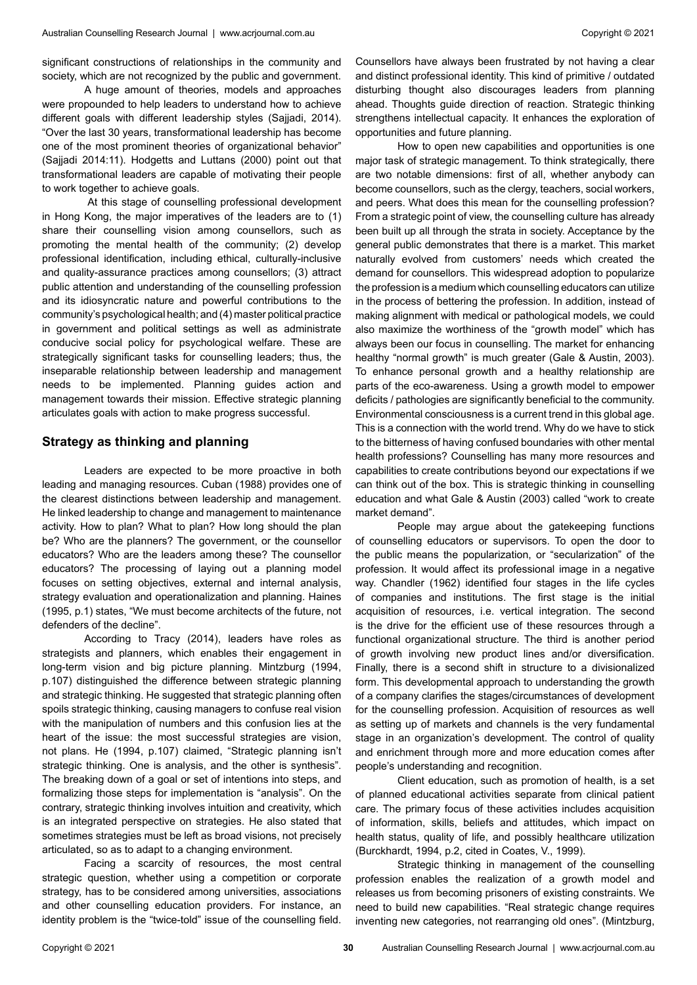significant constructions of relationships in the community and society, which are not recognized by the public and government.

A huge amount of theories, models and approaches were propounded to help leaders to understand how to achieve different goals with different leadership styles (Sajjadi, 2014). "Over the last 30 years, transformational leadership has become one of the most prominent theories of organizational behavior" (Sajjadi 2014:11). Hodgetts and Luttans (2000) point out that transformational leaders are capable of motivating their people to work together to achieve goals.

 At this stage of counselling professional development in Hong Kong, the major imperatives of the leaders are to (1) share their counselling vision among counsellors, such as promoting the mental health of the community; (2) develop professional identification, including ethical, culturally-inclusive and quality-assurance practices among counsellors; (3) attract public attention and understanding of the counselling profession and its idiosyncratic nature and powerful contributions to the community's psychological health; and (4) master political practice in government and political settings as well as administrate conducive social policy for psychological welfare. These are strategically significant tasks for counselling leaders; thus, the inseparable relationship between leadership and management needs to be implemented. Planning guides action and management towards their mission. Effective strategic planning articulates goals with action to make progress successful.

#### **Strategy as thinking and planning**

Leaders are expected to be more proactive in both leading and managing resources. Cuban (1988) provides one of the clearest distinctions between leadership and management. He linked leadership to change and management to maintenance activity. How to plan? What to plan? How long should the plan be? Who are the planners? The government, or the counsellor educators? Who are the leaders among these? The counsellor educators? The processing of laying out a planning model focuses on setting objectives, external and internal analysis, strategy evaluation and operationalization and planning. Haines (1995, p.1) states, "We must become architects of the future, not defenders of the decline".

According to Tracy (2014), leaders have roles as strategists and planners, which enables their engagement in long-term vision and big picture planning. Mintzburg (1994, p.107) distinguished the difference between strategic planning and strategic thinking. He suggested that strategic planning often spoils strategic thinking, causing managers to confuse real vision with the manipulation of numbers and this confusion lies at the heart of the issue: the most successful strategies are vision, not plans. He (1994, p.107) claimed, "Strategic planning isn't strategic thinking. One is analysis, and the other is synthesis". The breaking down of a goal or set of intentions into steps, and formalizing those steps for implementation is "analysis". On the contrary, strategic thinking involves intuition and creativity, which is an integrated perspective on strategies. He also stated that sometimes strategies must be left as broad visions, not precisely articulated, so as to adapt to a changing environment.

Facing a scarcity of resources, the most central strategic question, whether using a competition or corporate strategy, has to be considered among universities, associations and other counselling education providers. For instance, an identity problem is the "twice-told" issue of the counselling field.

Counsellors have always been frustrated by not having a clear and distinct professional identity. This kind of primitive / outdated disturbing thought also discourages leaders from planning ahead. Thoughts guide direction of reaction. Strategic thinking strengthens intellectual capacity. It enhances the exploration of opportunities and future planning.

How to open new capabilities and opportunities is one major task of strategic management. To think strategically, there are two notable dimensions: first of all, whether anybody can become counsellors, such as the clergy, teachers, social workers, and peers. What does this mean for the counselling profession? From a strategic point of view, the counselling culture has already been built up all through the strata in society. Acceptance by the general public demonstrates that there is a market. This market naturally evolved from customers' needs which created the demand for counsellors. This widespread adoption to popularize the profession is a medium which counselling educators can utilize in the process of bettering the profession. In addition, instead of making alignment with medical or pathological models, we could also maximize the worthiness of the "growth model" which has always been our focus in counselling. The market for enhancing healthy "normal growth" is much greater (Gale & Austin, 2003). To enhance personal growth and a healthy relationship are parts of the eco-awareness. Using a growth model to empower deficits / pathologies are significantly beneficial to the community. Environmental consciousness is a current trend in this global age. This is a connection with the world trend. Why do we have to stick to the bitterness of having confused boundaries with other mental health professions? Counselling has many more resources and capabilities to create contributions beyond our expectations if we can think out of the box. This is strategic thinking in counselling education and what Gale & Austin (2003) called "work to create market demand".

People may argue about the gatekeeping functions of counselling educators or supervisors. To open the door to the public means the popularization, or "secularization" of the profession. It would affect its professional image in a negative way. Chandler (1962) identified four stages in the life cycles of companies and institutions. The first stage is the initial acquisition of resources, i.e. vertical integration. The second is the drive for the efficient use of these resources through a functional organizational structure. The third is another period of growth involving new product lines and/or diversification. Finally, there is a second shift in structure to a divisionalized form. This developmental approach to understanding the growth of a company clarifies the stages/circumstances of development for the counselling profession. Acquisition of resources as well as setting up of markets and channels is the very fundamental stage in an organization's development. The control of quality and enrichment through more and more education comes after people's understanding and recognition.

Client education, such as promotion of health, is a set of planned educational activities separate from clinical patient care. The primary focus of these activities includes acquisition of information, skills, beliefs and attitudes, which impact on health status, quality of life, and possibly healthcare utilization (Burckhardt, 1994, p.2, cited in Coates, V., 1999).

Strategic thinking in management of the counselling profession enables the realization of a growth model and releases us from becoming prisoners of existing constraints. We need to build new capabilities. "Real strategic change requires inventing new categories, not rearranging old ones". (Mintzburg,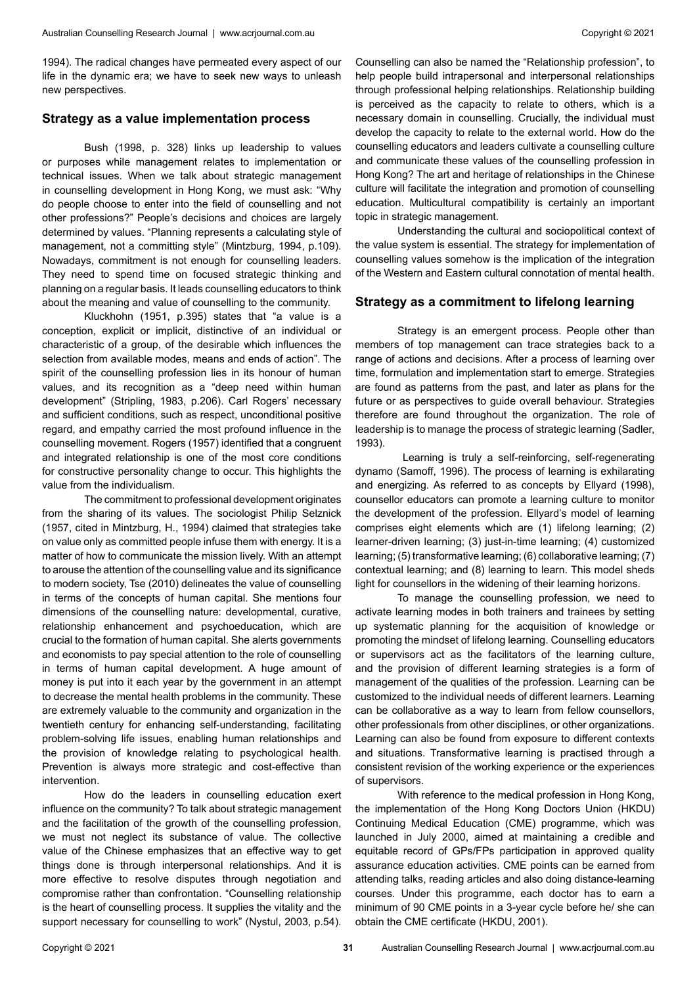1994). The radical changes have permeated every aspect of our life in the dynamic era; we have to seek new ways to unleash new perspectives.

#### **Strategy as a value implementation process**

Bush (1998, p. 328) links up leadership to values or purposes while management relates to implementation or technical issues. When we talk about strategic management in counselling development in Hong Kong, we must ask: "Why do people choose to enter into the field of counselling and not other professions?" People's decisions and choices are largely determined by values. "Planning represents a calculating style of management, not a committing style" (Mintzburg, 1994, p.109). Nowadays, commitment is not enough for counselling leaders. They need to spend time on focused strategic thinking and planning on a regular basis. It leads counselling educators to think about the meaning and value of counselling to the community.

Kluckhohn (1951, p.395) states that "a value is a conception, explicit or implicit, distinctive of an individual or characteristic of a group, of the desirable which influences the selection from available modes, means and ends of action". The spirit of the counselling profession lies in its honour of human values, and its recognition as a "deep need within human development" (Stripling, 1983, p.206). Carl Rogers' necessary and sufficient conditions, such as respect, unconditional positive regard, and empathy carried the most profound influence in the counselling movement. Rogers (1957) identified that a congruent and integrated relationship is one of the most core conditions for constructive personality change to occur. This highlights the value from the individualism.

The commitment to professional development originates from the sharing of its values. The sociologist Philip Selznick (1957, cited in Mintzburg, H., 1994) claimed that strategies take on value only as committed people infuse them with energy. It is a matter of how to communicate the mission lively. With an attempt to arouse the attention of the counselling value and its significance to modern society, Tse (2010) delineates the value of counselling in terms of the concepts of human capital. She mentions four dimensions of the counselling nature: developmental, curative, relationship enhancement and psychoeducation, which are crucial to the formation of human capital. She alerts governments and economists to pay special attention to the role of counselling in terms of human capital development. A huge amount of money is put into it each year by the government in an attempt to decrease the mental health problems in the community. These are extremely valuable to the community and organization in the twentieth century for enhancing self-understanding, facilitating problem-solving life issues, enabling human relationships and the provision of knowledge relating to psychological health. Prevention is always more strategic and cost-effective than intervention.

How do the leaders in counselling education exert influence on the community? To talk about strategic management and the facilitation of the growth of the counselling profession, we must not neglect its substance of value. The collective value of the Chinese emphasizes that an effective way to get things done is through interpersonal relationships. And it is more effective to resolve disputes through negotiation and compromise rather than confrontation. "Counselling relationship is the heart of counselling process. It supplies the vitality and the support necessary for counselling to work" (Nystul, 2003, p.54).

Counselling can also be named the "Relationship profession", to help people build intrapersonal and interpersonal relationships through professional helping relationships. Relationship building is perceived as the capacity to relate to others, which is a necessary domain in counselling. Crucially, the individual must develop the capacity to relate to the external world. How do the counselling educators and leaders cultivate a counselling culture and communicate these values of the counselling profession in Hong Kong? The art and heritage of relationships in the Chinese culture will facilitate the integration and promotion of counselling education. Multicultural compatibility is certainly an important topic in strategic management.

Understanding the cultural and sociopolitical context of the value system is essential. The strategy for implementation of counselling values somehow is the implication of the integration of the Western and Eastern cultural connotation of mental health.

#### **Strategy as a commitment to lifelong learning**

Strategy is an emergent process. People other than members of top management can trace strategies back to a range of actions and decisions. After a process of learning over time, formulation and implementation start to emerge. Strategies are found as patterns from the past, and later as plans for the future or as perspectives to guide overall behaviour. Strategies therefore are found throughout the organization. The role of leadership is to manage the process of strategic learning (Sadler, 1993).

 Learning is truly a self-reinforcing, self-regenerating dynamo (Samoff, 1996). The process of learning is exhilarating and energizing. As referred to as concepts by Ellyard (1998), counsellor educators can promote a learning culture to monitor the development of the profession. Ellyard's model of learning comprises eight elements which are (1) lifelong learning; (2) learner-driven learning; (3) just-in-time learning; (4) customized learning; (5) transformative learning; (6) collaborative learning; (7) contextual learning; and (8) learning to learn. This model sheds light for counsellors in the widening of their learning horizons.

To manage the counselling profession, we need to activate learning modes in both trainers and trainees by setting up systematic planning for the acquisition of knowledge or promoting the mindset of lifelong learning. Counselling educators or supervisors act as the facilitators of the learning culture, and the provision of different learning strategies is a form of management of the qualities of the profession. Learning can be customized to the individual needs of different learners. Learning can be collaborative as a way to learn from fellow counsellors, other professionals from other disciplines, or other organizations. Learning can also be found from exposure to different contexts and situations. Transformative learning is practised through a consistent revision of the working experience or the experiences of supervisors.

With reference to the medical profession in Hong Kong, the implementation of the Hong Kong Doctors Union (HKDU) Continuing Medical Education (CME) programme, which was launched in July 2000, aimed at maintaining a credible and equitable record of GPs/FPs participation in approved quality assurance education activities. CME points can be earned from attending talks, reading articles and also doing distance-learning courses. Under this programme, each doctor has to earn a minimum of 90 CME points in a 3-year cycle before he/ she can obtain the CME certificate (HKDU, 2001).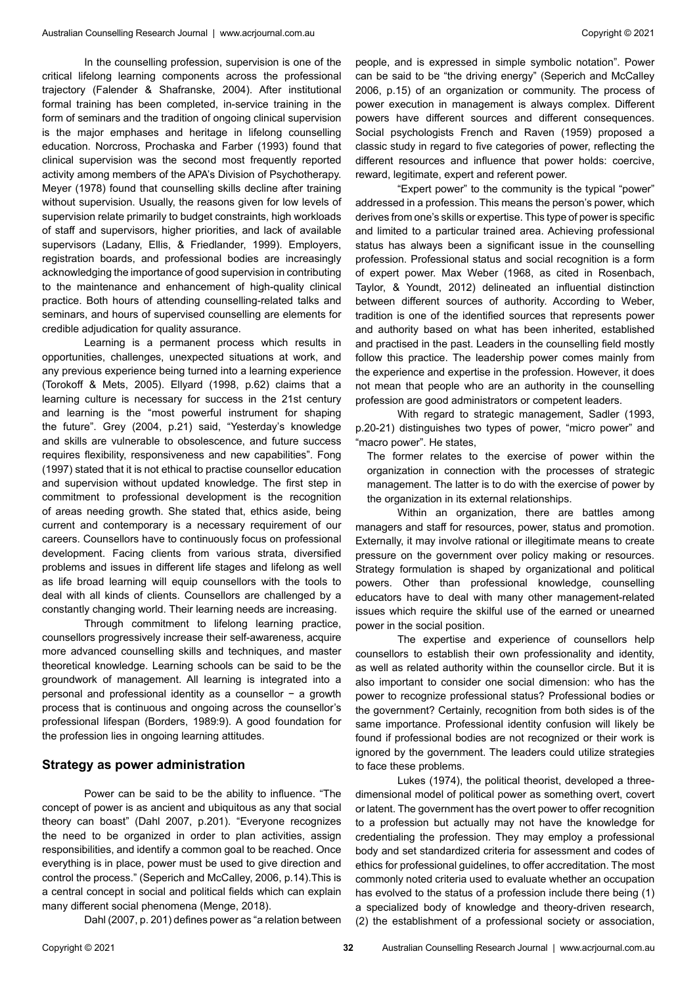In the counselling profession, supervision is one of the critical lifelong learning components across the professional trajectory (Falender & Shafranske, 2004). After institutional formal training has been completed, in-service training in the form of seminars and the tradition of ongoing clinical supervision is the major emphases and heritage in lifelong counselling education. Norcross, Prochaska and Farber (1993) found that clinical supervision was the second most frequently reported activity among members of the APA's Division of Psychotherapy. Meyer (1978) found that counselling skills decline after training without supervision. Usually, the reasons given for low levels of supervision relate primarily to budget constraints, high workloads of staff and supervisors, higher priorities, and lack of available supervisors (Ladany, Ellis, & Friedlander, 1999). Employers, registration boards, and professional bodies are increasingly acknowledging the importance of good supervision in contributing to the maintenance and enhancement of high-quality clinical practice. Both hours of attending counselling-related talks and seminars, and hours of supervised counselling are elements for credible adjudication for quality assurance.

Learning is a permanent process which results in opportunities, challenges, unexpected situations at work, and any previous experience being turned into a learning experience (Torokoff & Mets, 2005). Ellyard (1998, p.62) claims that a learning culture is necessary for success in the 21st century and learning is the "most powerful instrument for shaping the future". Grey (2004, p.21) said, "Yesterday's knowledge and skills are vulnerable to obsolescence, and future success requires flexibility, responsiveness and new capabilities". Fong (1997) stated that it is not ethical to practise counsellor education and supervision without updated knowledge. The first step in commitment to professional development is the recognition of areas needing growth. She stated that, ethics aside, being current and contemporary is a necessary requirement of our careers. Counsellors have to continuously focus on professional development. Facing clients from various strata, diversified problems and issues in different life stages and lifelong as well as life broad learning will equip counsellors with the tools to deal with all kinds of clients. Counsellors are challenged by a constantly changing world. Their learning needs are increasing.

Through commitment to lifelong learning practice, counsellors progressively increase their self-awareness, acquire more advanced counselling skills and techniques, and master theoretical knowledge. Learning schools can be said to be the groundwork of management. All learning is integrated into a personal and professional identity as a counsellor − a growth process that is continuous and ongoing across the counsellor's professional lifespan (Borders, 1989:9). A good foundation for the profession lies in ongoing learning attitudes.

#### **Strategy as power administration**

Power can be said to be the ability to influence. "The concept of power is as ancient and ubiquitous as any that social theory can boast" (Dahl 2007, p.201). "Everyone recognizes the need to be organized in order to plan activities, assign responsibilities, and identify a common goal to be reached. Once everything is in place, power must be used to give direction and control the process." (Seperich and McCalley, 2006, p.14).This is a central concept in social and political fields which can explain many different social phenomena (Menge, 2018).

Dahl (2007, p. 201) defines power as "a relation between

people, and is expressed in simple symbolic notation". Power can be said to be "the driving energy" (Seperich and McCalley 2006, p.15) of an organization or community. The process of power execution in management is always complex. Different powers have different sources and different consequences. Social psychologists French and Raven (1959) proposed a classic study in regard to five categories of power, reflecting the different resources and influence that power holds: coercive, reward, legitimate, expert and referent power.

"Expert power" to the community is the typical "power" addressed in a profession. This means the person's power, which derives from one's skills or expertise. This type of power is specific and limited to a particular trained area. Achieving professional status has always been a significant issue in the counselling profession. Professional status and social recognition is a form of expert power. Max Weber (1968, as cited in Rosenbach, Taylor, & Youndt, 2012) delineated an influential distinction between different sources of authority. According to Weber, tradition is one of the identified sources that represents power and authority based on what has been inherited, established and practised in the past. Leaders in the counselling field mostly follow this practice. The leadership power comes mainly from the experience and expertise in the profession. However, it does not mean that people who are an authority in the counselling profession are good administrators or competent leaders.

With regard to strategic management, Sadler (1993, p.20-21) distinguishes two types of power, "micro power" and "macro power". He states,

The former relates to the exercise of power within the organization in connection with the processes of strategic management. The latter is to do with the exercise of power by the organization in its external relationships.

Within an organization, there are battles among managers and staff for resources, power, status and promotion. Externally, it may involve rational or illegitimate means to create pressure on the government over policy making or resources. Strategy formulation is shaped by organizational and political powers. Other than professional knowledge, counselling educators have to deal with many other management-related issues which require the skilful use of the earned or unearned power in the social position.

The expertise and experience of counsellors help counsellors to establish their own professionality and identity, as well as related authority within the counsellor circle. But it is also important to consider one social dimension: who has the power to recognize professional status? Professional bodies or the government? Certainly, recognition from both sides is of the same importance. Professional identity confusion will likely be found if professional bodies are not recognized or their work is ignored by the government. The leaders could utilize strategies to face these problems.

Lukes (1974), the political theorist, developed a threedimensional model of political power as something overt, covert or latent. The government has the overt power to offer recognition to a profession but actually may not have the knowledge for credentialing the profession. They may employ a professional body and set standardized criteria for assessment and codes of ethics for professional guidelines, to offer accreditation. The most commonly noted criteria used to evaluate whether an occupation has evolved to the status of a profession include there being (1) a specialized body of knowledge and theory-driven research, (2) the establishment of a professional society or association,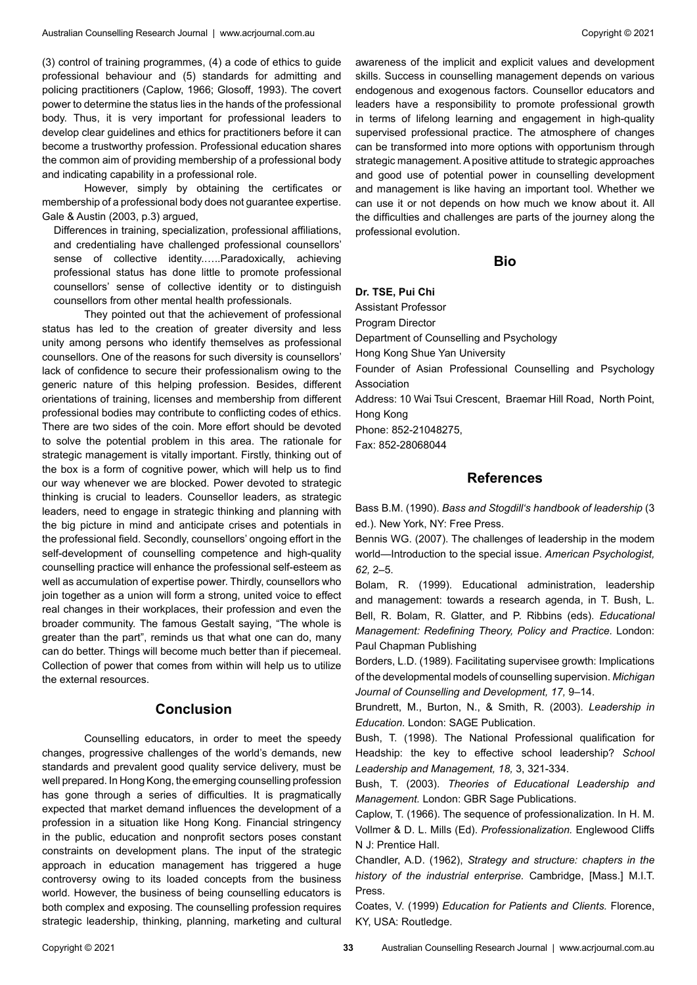(3) control of training programmes, (4) a code of ethics to guide professional behaviour and (5) standards for admitting and policing practitioners (Caplow, 1966; Glosoff, 1993). The covert power to determine the status lies in the hands of the professional body. Thus, it is very important for professional leaders to develop clear guidelines and ethics for practitioners before it can become a trustworthy profession. Professional education shares the common aim of providing membership of a professional body and indicating capability in a professional role.

However, simply by obtaining the certificates or membership of a professional body does not guarantee expertise. Gale & Austin (2003, p.3) argued,

Differences in training, specialization, professional affiliations, and credentialing have challenged professional counsellors' sense of collective identity.…..Paradoxically, achieving professional status has done little to promote professional counsellors' sense of collective identity or to distinguish counsellors from other mental health professionals.

They pointed out that the achievement of professional status has led to the creation of greater diversity and less unity among persons who identify themselves as professional counsellors. One of the reasons for such diversity is counsellors' lack of confidence to secure their professionalism owing to the generic nature of this helping profession. Besides, different orientations of training, licenses and membership from different professional bodies may contribute to conflicting codes of ethics. There are two sides of the coin. More effort should be devoted to solve the potential problem in this area. The rationale for strategic management is vitally important. Firstly, thinking out of the box is a form of cognitive power, which will help us to find our way whenever we are blocked. Power devoted to strategic thinking is crucial to leaders. Counsellor leaders, as strategic leaders, need to engage in strategic thinking and planning with the big picture in mind and anticipate crises and potentials in the professional field. Secondly, counsellors' ongoing effort in the self-development of counselling competence and high-quality counselling practice will enhance the professional self-esteem as well as accumulation of expertise power. Thirdly, counsellors who join together as a union will form a strong, united voice to effect real changes in their workplaces, their profession and even the broader community. The famous Gestalt saying, "The whole is greater than the part", reminds us that what one can do, many can do better. Things will become much better than if piecemeal. Collection of power that comes from within will help us to utilize the external resources.

### **Conclusion**

Counselling educators, in order to meet the speedy changes, progressive challenges of the world's demands, new standards and prevalent good quality service delivery, must be well prepared. In Hong Kong, the emerging counselling profession has gone through a series of difficulties. It is pragmatically expected that market demand influences the development of a profession in a situation like Hong Kong. Financial stringency in the public, education and nonprofit sectors poses constant constraints on development plans. The input of the strategic approach in education management has triggered a huge controversy owing to its loaded concepts from the business world. However, the business of being counselling educators is both complex and exposing. The counselling profession requires strategic leadership, thinking, planning, marketing and cultural

awareness of the implicit and explicit values and development skills. Success in counselling management depends on various endogenous and exogenous factors. Counsellor educators and leaders have a responsibility to promote professional growth in terms of lifelong learning and engagement in high-quality supervised professional practice. The atmosphere of changes can be transformed into more options with opportunism through strategic management. A positive attitude to strategic approaches and good use of potential power in counselling development and management is like having an important tool. Whether we can use it or not depends on how much we know about it. All the difficulties and challenges are parts of the journey along the professional evolution.

#### **Bio**

#### **Dr. TSE, Pui Chi**

Assistant Professor

Program Director

Department of Counselling and Psychology

Hong Kong Shue Yan University

Founder of Asian Professional Counselling and Psychology Association

Address: 10 Wai Tsui Crescent, Braemar Hill Road, North Point, Hong Kong

Phone: 852-21048275,

Fax: 852-28068044

## **References**

Bass B.M. (1990). *Bass and Stogdill's handbook of leadership* (3 ed.). New York, NY: Free Press.

Bennis WG. (2007). The challenges of leadership in the modem world—Introduction to the special issue. *American Psychologist, 62,* 2–5.

Bolam, R. (1999). Educational administration, leadership and management: towards a research agenda, in T. Bush, L. Bell, R. Bolam, R. Glatter, and P. Ribbins (eds). *Educational Management: Redefining Theory, Policy and Practice.* London: Paul Chapman Publishing

Borders, L.D. (1989). Facilitating supervisee growth: Implications of the developmental models of counselling supervision. *Michigan Journal of Counselling and Development, 17,* 9–14.

Brundrett, M., Burton, N., & Smith, R. (2003). *Leadership in Education.* London: SAGE Publication.

Bush, T. (1998). The National Professional qualification for Headship: the key to effective school leadership? *School Leadership and Management, 18,* 3, 321-334.

Bush, T. (2003). *Theories of Educational Leadership and Management.* London: GBR Sage Publications.

Caplow, T. (1966). The sequence of professionalization. In H. M. Vollmer & D. L. Mills (Ed). *Professionalization.* Englewood Cliffs N J: Prentice Hall.

Chandler, A.D. (1962), *Strategy and structure: chapters in the history of the industrial enterprise.* Cambridge, [Mass.] M.I.T. Press.

Coates, V. (1999) *Education for Patients and Clients.* Florence, KY, USA: Routledge.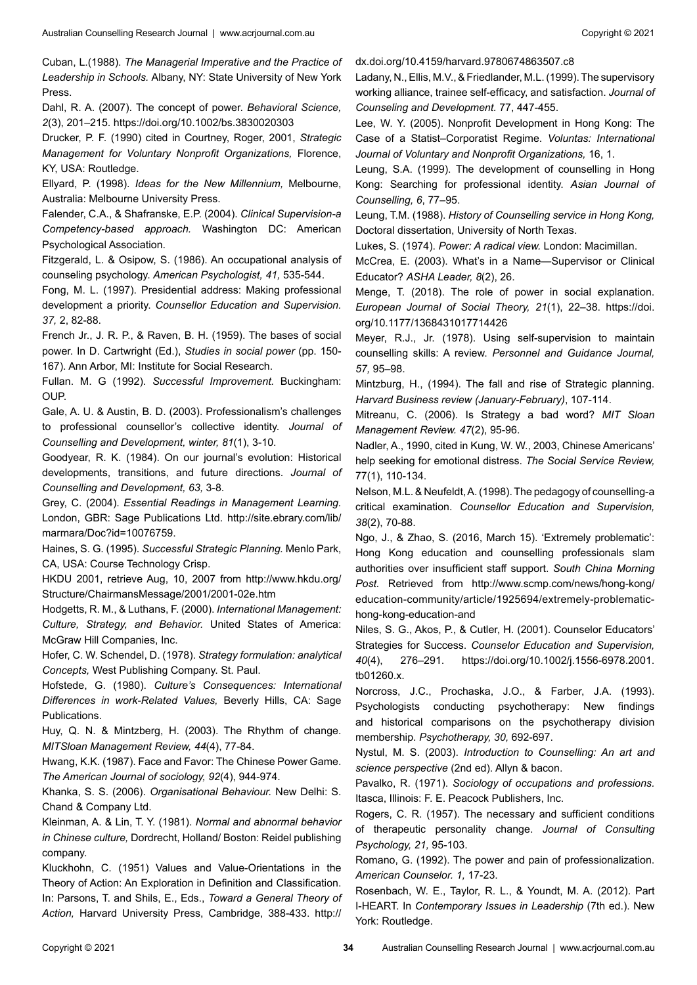Cuban, L.(1988). *The Managerial Imperative and the Practice of Leadership in Schools.* Albany, NY: State University of New York Press.

Dahl, R. A. (2007). The concept of power. *Behavioral Science, 2*(3), 201–215. https://doi.org/10.1002/bs.3830020303

Drucker, P. F. (1990) cited in Courtney, Roger, 2001, *Strategic Management for Voluntary Nonprofit Organizations,* Florence, KY, USA: Routledge.

Ellyard, P. (1998). *Ideas for the New Millennium,* Melbourne, Australia: Melbourne University Press.

Falender, C.A., & Shafranske, E.P. (2004). *Clinical Supervision-a Competency-based approach.* Washington DC: American Psychological Association.

Fitzgerald, L. & Osipow, S. (1986). An occupational analysis of counseling psychology. *American Psychologist, 41,* 535-544.

Fong, M. L. (1997). Presidential address: Making professional development a priority. *Counsellor Education and Supervision. 37,* 2, 82-88.

French Jr., J. R. P., & Raven, B. H. (1959). The bases of social power. In D. Cartwright (Ed.), *Studies in social power* (pp. 150- 167). Ann Arbor, MI: Institute for Social Research.

Fullan. M. G (1992). *Successful Improvement.* Buckingham: OUP.

Gale, A. U. & Austin, B. D. (2003). Professionalism's challenges to professional counsellor's collective identity. *Journal of Counselling and Development, winter, 81*(1), 3-10.

Goodyear, R. K. (1984). On our journal's evolution: Historical developments, transitions, and future directions. *Journal of Counselling and Development, 63,* 3-8.

Grey, C. (2004). *Essential Readings in Management Learning.*  London, GBR: Sage Publications Ltd. http://site.ebrary.com/lib/ marmara/Doc?id=10076759.

Haines, S. G. (1995). *Successful Strategic Planning.* Menlo Park, CA, USA: Course Technology Crisp.

HKDU 2001, retrieve Aug, 10, 2007 from http://www.hkdu.org/ Structure/ChairmansMessage/2001/2001-02e.htm

Hodgetts, R. M., & Luthans, F. (2000). *International Management: Culture, Strategy, and Behavior.* United States of America: McGraw Hill Companies, Inc.

Hofer, C. W. Schendel, D. (1978). *Strategy formulation: analytical Concepts,* West Publishing Company. St. Paul.

Hofstede, G. (1980). *Culture's Consequences: International Differences in work-Related Values,* Beverly Hills, CA: Sage Publications.

Huy, Q. N. & Mintzberg, H. (2003). The Rhythm of change. *MITSloan Management Review, 44*(4), 77-84.

Hwang, K.K. (1987). Face and Favor: The Chinese Power Game. *The American Journal of sociology, 92*(4), 944-974.

Khanka, S. S. (2006). *Organisational Behaviour.* New Delhi: S. Chand & Company Ltd.

Kleinman, A. & Lin, T. Y. (1981). *Normal and abnormal behavior in Chinese culture,* Dordrecht, Holland/ Boston: Reidel publishing company.

Kluckhohn, C. (1951) Values and Value-Orientations in the Theory of Action: An Exploration in Definition and Classification. In: Parsons, T. and Shils, E., Eds., *Toward a General Theory of Action,* Harvard University Press, Cambridge, 388-433. http://

dx.doi.org/10.4159/harvard.9780674863507.c8

Ladany, N., Ellis, M.V., & Friedlander, M.L. (1999). The supervisory working alliance, trainee self-efficacy, and satisfaction. *Journal of Counseling and Development.* 77, 447-455.

Lee, W. Y. (2005). Nonprofit Development in Hong Kong: The Case of a Statist–Corporatist Regime. *Voluntas: International Journal of Voluntary and Nonprofit Organizations,* 16, 1.

Leung, S.A. (1999). The development of counselling in Hong Kong: Searching for professional identity. *Asian Journal of Counselling, 6*, 77–95.

Leung, T.M. (1988). *History of Counselling service in Hong Kong,* Doctoral dissertation, University of North Texas.

Lukes, S. (1974). *Power: A radical view.* London: Macimillan.

McCrea, E. (2003). What's in a Name—Supervisor or Clinical Educator? *ASHA Leader, 8*(2), 26.

Menge, T. (2018). The role of power in social explanation. *European Journal of Social Theory, 21*(1), 22–38. https://doi. org/10.1177/1368431017714426

Meyer, R.J., Jr. (1978). Using self-supervision to maintain counselling skills: A review. *Personnel and Guidance Journal, 57,* 95–98.

Mintzburg, H., (1994). The fall and rise of Strategic planning. *Harvard Business review (January-February)*, 107-114.

Mitreanu, C. (2006). Is Strategy a bad word? *MIT Sloan Management Review. 47*(2), 95-96.

Nadler, A., 1990, cited in Kung, W. W., 2003, Chinese Americans' help seeking for emotional distress. *The Social Service Review,* 77(1), 110-134.

Nelson, M.L. & Neufeldt, A. (1998). The pedagogy of counselling-a critical examination. *Counsellor Education and Supervision, 38*(2), 70-88.

Ngo, J., & Zhao, S. (2016, March 15). 'Extremely problematic': Hong Kong education and counselling professionals slam authorities over insufficient staff support. *South China Morning Post.* Retrieved from http://www.scmp.com/news/hong-kong/ education-community/article/1925694/extremely-problematichong-kong-education-and

Niles, S. G., Akos, P., & Cutler, H. (2001). Counselor Educators' Strategies for Success. *Counselor Education and Supervision, 40*(4), 276–291. https://doi.org/10.1002/j.1556-6978.2001. tb01260.x.

Norcross, J.C., Prochaska, J.O., & Farber, J.A. (1993). Psychologists conducting psychotherapy: New findings and historical comparisons on the psychotherapy division membership. *Psychotherapy, 30,* 692-697.

Nystul, M. S. (2003). *Introduction to Counselling: An art and science perspective* (2nd ed). Allyn & bacon.

Pavalko, R. (1971). *Sociology of occupations and professions.*  Itasca, Illinois: F. E. Peacock Publishers, Inc.

Rogers, C. R. (1957). The necessary and sufficient conditions of therapeutic personality change. *Journal of Consulting Psychology, 21,* 95-103.

Romano, G. (1992). The power and pain of professionalization. *American Counselor. 1,* 17-23.

Rosenbach, W. E., Taylor, R. L., & Youndt, M. A. (2012). Part I-HEART. In *Contemporary Issues in Leadership* (7th ed.). New York: Routledge.